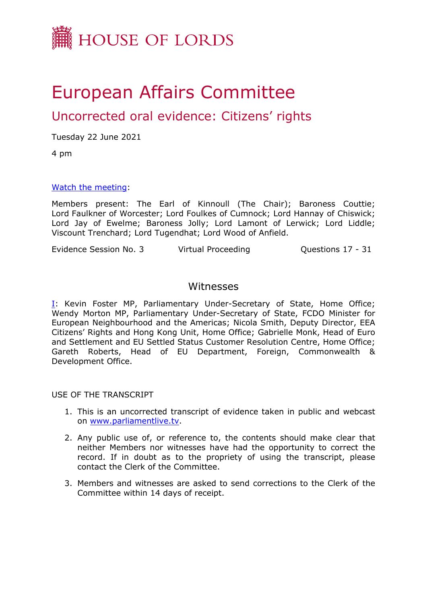

## European Affairs Committee

## Uncorrected oral evidence: Citizens' rights

Tuesday 22 June 2021

4 pm

[Watch](https://www.bbc.co.uk/news/uk-northern-ireland-57382239) [the](https://www.bbc.co.uk/news/uk-northern-ireland-57382239) [meeting:](https://www.bbc.co.uk/news/uk-northern-ireland-57382239)

Members present: The Earl of Kinnoull (The Chair); Baroness Couttie; Lord Faulkner of Worcester; Lord Foulkes of Cumnock; Lord Hannay of Chiswick; Lord Jay of Ewelme; Baroness Jolly; Lord Lamont of Lerwick; Lord Liddle; Viscount Trenchard; Lord Tugendhat; Lord Wood of Anfield.

Evidence Session No. 3 Virtual Proceeding Cuestions 17 - 31

## Witnesses

[I:](#page-1-0) Kevin Foster MP, Parliamentary Under-Secretary of State, Home Office; Wendy Morton MP, Parliamentary Under-Secretary of State, FCDO Minister for European Neighbourhood and the Americas; Nicola Smith, Deputy Director, EEA Citizens' Rights and Hong Kong Unit, Home Office; Gabrielle Monk, Head of Euro and Settlement and EU Settled Status Customer Resolution Centre, Home Office; Gareth Roberts, Head of EU Department, Foreign, Commonwealth & Development Office.

USE OF THE TRANSCRIPT

- 1. This is an uncorrected transcript of evidence taken in public and webcast on [www.parliamentlive.tv.](http://www.parliamentlive.tv/)
- 2. Any public use of, or reference to, the contents should make clear that neither Members nor witnesses have had the opportunity to correct the record. If in doubt as to the propriety of using the transcript, please contact the Clerk of the Committee.
- 3. Members and witnesses are asked to send corrections to the Clerk of the Committee within 14 days of receipt.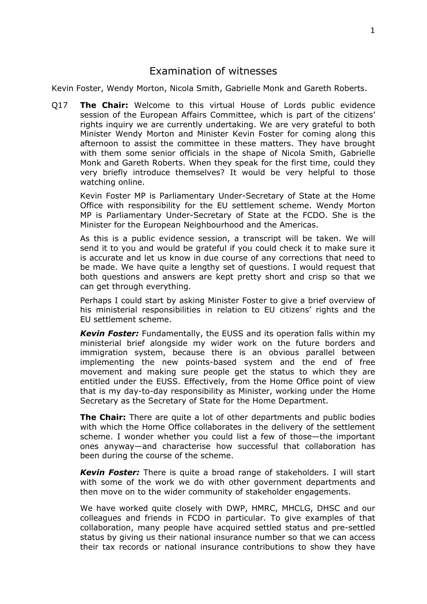## <span id="page-1-0"></span>Examination of witnesses

Kevin Foster, Wendy Morton, Nicola Smith, Gabrielle Monk and Gareth Roberts.

Q17 **The Chair:** Welcome to this virtual House of Lords public evidence session of the European Affairs Committee, which is part of the citizens' rights inquiry we are currently undertaking. We are very grateful to both Minister Wendy Morton and Minister Kevin Foster for coming along this afternoon to assist the committee in these matters. They have brought with them some senior officials in the shape of Nicola Smith, Gabrielle Monk and Gareth Roberts. When they speak for the first time, could they very briefly introduce themselves? It would be very helpful to those watching online.

Kevin Foster MP is Parliamentary Under-Secretary of State at the Home Office with responsibility for the EU settlement scheme. Wendy Morton MP is Parliamentary Under-Secretary of State at the FCDO. She is the Minister for the European Neighbourhood and the Americas.

As this is a public evidence session, a transcript will be taken. We will send it to you and would be grateful if you could check it to make sure it is accurate and let us know in due course of any corrections that need to be made. We have quite a lengthy set of questions. I would request that both questions and answers are kept pretty short and crisp so that we can get through everything.

Perhaps I could start by asking Minister Foster to give a brief overview of his ministerial responsibilities in relation to EU citizens' rights and the EU settlement scheme.

*Kevin Foster:* Fundamentally, the EUSS and its operation falls within my ministerial brief alongside my wider work on the future borders and immigration system, because there is an obvious parallel between implementing the new points-based system and the end of free movement and making sure people get the status to which they are entitled under the EUSS. Effectively, from the Home Office point of view that is my day-to-day responsibility as Minister, working under the Home Secretary as the Secretary of State for the Home Department.

**The Chair:** There are quite a lot of other departments and public bodies with which the Home Office collaborates in the delivery of the settlement scheme. I wonder whether you could list a few of those—the important ones anyway—and characterise how successful that collaboration has been during the course of the scheme.

*Kevin Foster:* There is quite a broad range of stakeholders. I will start with some of the work we do with other government departments and then move on to the wider community of stakeholder engagements.

We have worked quite closely with DWP, HMRC, MHCLG, DHSC and our colleagues and friends in FCDO in particular. To give examples of that collaboration, many people have acquired settled status and pre-settled status by giving us their national insurance number so that we can access their tax records or national insurance contributions to show they have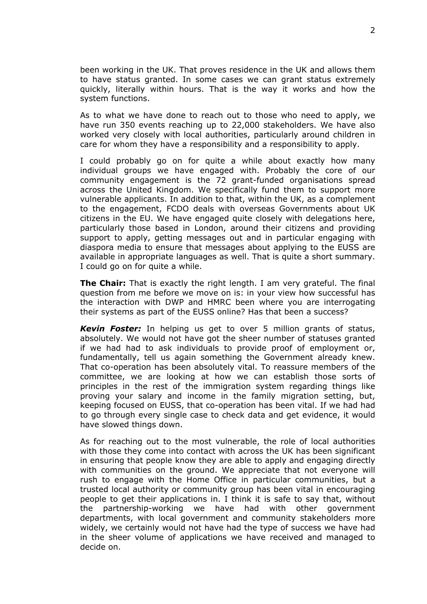been working in the UK. That proves residence in the UK and allows them to have status granted. In some cases we can grant status extremely quickly, literally within hours. That is the way it works and how the system functions.

As to what we have done to reach out to those who need to apply, we have run 350 events reaching up to 22,000 stakeholders. We have also worked very closely with local authorities, particularly around children in care for whom they have a responsibility and a responsibility to apply.

I could probably go on for quite a while about exactly how many individual groups we have engaged with. Probably the core of our community engagement is the 72 grant-funded organisations spread across the United Kingdom. We specifically fund them to support more vulnerable applicants. In addition to that, within the UK, as a complement to the engagement, FCDO deals with overseas Governments about UK citizens in the EU. We have engaged quite closely with delegations here, particularly those based in London, around their citizens and providing support to apply, getting messages out and in particular engaging with diaspora media to ensure that messages about applying to the EUSS are available in appropriate languages as well. That is quite a short summary. I could go on for quite a while.

**The Chair:** That is exactly the right length. I am very grateful. The final question from me before we move on is: in your view how successful has the interaction with DWP and HMRC been where you are interrogating their systems as part of the EUSS online? Has that been a success?

*Kevin Foster:* In helping us get to over 5 million grants of status, absolutely. We would not have got the sheer number of statuses granted if we had had to ask individuals to provide proof of employment or, fundamentally, tell us again something the Government already knew. That co-operation has been absolutely vital. To reassure members of the committee, we are looking at how we can establish those sorts of principles in the rest of the immigration system regarding things like proving your salary and income in the family migration setting, but, keeping focused on EUSS, that co-operation has been vital. If we had had to go through every single case to check data and get evidence, it would have slowed things down.

As for reaching out to the most vulnerable, the role of local authorities with those they come into contact with across the UK has been significant in ensuring that people know they are able to apply and engaging directly with communities on the ground. We appreciate that not everyone will rush to engage with the Home Office in particular communities, but a trusted local authority or community group has been vital in encouraging people to get their applications in. I think it is safe to say that, without the partnership-working we have had with other government departments, with local government and community stakeholders more widely, we certainly would not have had the type of success we have had in the sheer volume of applications we have received and managed to decide on.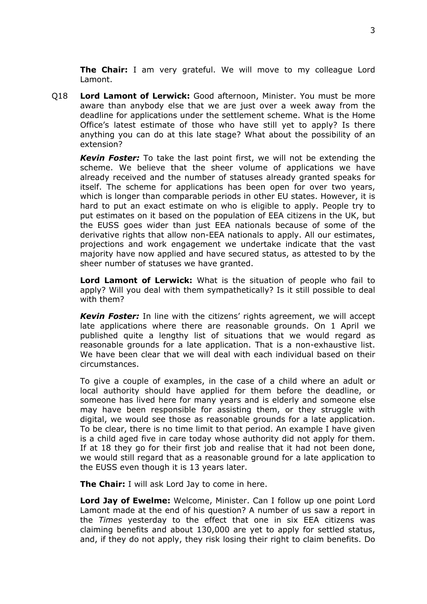**The Chair:** I am very grateful. We will move to my colleague Lord Lamont.

Q18 **Lord Lamont of Lerwick:** Good afternoon, Minister. You must be more aware than anybody else that we are just over a week away from the deadline for applications under the settlement scheme. What is the Home Office's latest estimate of those who have still yet to apply? Is there anything you can do at this late stage? What about the possibility of an extension?

*Kevin Foster:* To take the last point first, we will not be extending the scheme. We believe that the sheer volume of applications we have already received and the number of statuses already granted speaks for itself. The scheme for applications has been open for over two years, which is longer than comparable periods in other EU states. However, it is hard to put an exact estimate on who is eligible to apply. People try to put estimates on it based on the population of EEA citizens in the UK, but the EUSS goes wider than just EEA nationals because of some of the derivative rights that allow non-EEA nationals to apply. All our estimates, projections and work engagement we undertake indicate that the vast majority have now applied and have secured status, as attested to by the sheer number of statuses we have granted.

**Lord Lamont of Lerwick:** What is the situation of people who fail to apply? Will you deal with them sympathetically? Is it still possible to deal with them?

*Kevin Foster:* In line with the citizens' rights agreement, we will accept late applications where there are reasonable grounds. On 1 April we published quite a lengthy list of situations that we would regard as reasonable grounds for a late application. That is a non-exhaustive list. We have been clear that we will deal with each individual based on their circumstances.

To give a couple of examples, in the case of a child where an adult or local authority should have applied for them before the deadline, or someone has lived here for many years and is elderly and someone else may have been responsible for assisting them, or they struggle with digital, we would see those as reasonable grounds for a late application. To be clear, there is no time limit to that period. An example I have given is a child aged five in care today whose authority did not apply for them. If at 18 they go for their first job and realise that it had not been done, we would still regard that as a reasonable ground for a late application to the EUSS even though it is 13 years later.

**The Chair:** I will ask Lord Jay to come in here.

**Lord Jay of Ewelme:** Welcome, Minister. Can I follow up one point Lord Lamont made at the end of his question? A number of us saw a report in the *Times* yesterday to the effect that one in six EEA citizens was claiming benefits and about 130,000 are yet to apply for settled status, and, if they do not apply, they risk losing their right to claim benefits. Do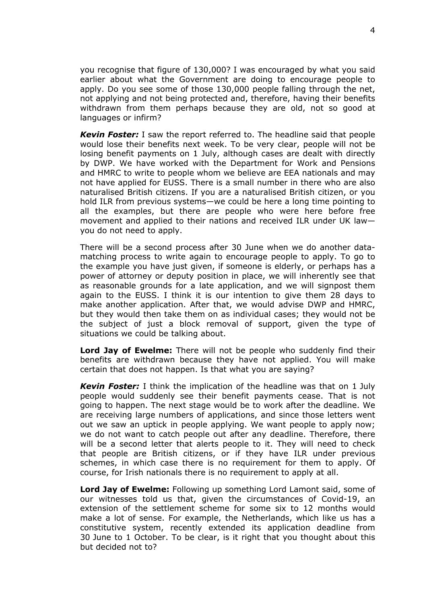you recognise that figure of 130,000? I was encouraged by what you said earlier about what the Government are doing to encourage people to apply. Do you see some of those 130,000 people falling through the net, not applying and not being protected and, therefore, having their benefits withdrawn from them perhaps because they are old, not so good at languages or infirm?

*Kevin Foster:* I saw the report referred to. The headline said that people would lose their benefits next week. To be very clear, people will not be losing benefit payments on 1 July, although cases are dealt with directly by DWP. We have worked with the Department for Work and Pensions and HMRC to write to people whom we believe are EEA nationals and may not have applied for EUSS. There is a small number in there who are also naturalised British citizens. If you are a naturalised British citizen, or you hold ILR from previous systems—we could be here a long time pointing to all the examples, but there are people who were here before free movement and applied to their nations and received ILR under UK law you do not need to apply.

There will be a second process after 30 June when we do another datamatching process to write again to encourage people to apply. To go to the example you have just given, if someone is elderly, or perhaps has a power of attorney or deputy position in place, we will inherently see that as reasonable grounds for a late application, and we will signpost them again to the EUSS. I think it is our intention to give them 28 days to make another application. After that, we would advise DWP and HMRC, but they would then take them on as individual cases; they would not be the subject of just a block removal of support, given the type of situations we could be talking about.

**Lord Jay of Ewelme:** There will not be people who suddenly find their benefits are withdrawn because they have not applied. You will make certain that does not happen. Is that what you are saying?

*Kevin Foster:* I think the implication of the headline was that on 1 July people would suddenly see their benefit payments cease. That is not going to happen. The next stage would be to work after the deadline. We are receiving large numbers of applications, and since those letters went out we saw an uptick in people applying. We want people to apply now; we do not want to catch people out after any deadline. Therefore, there will be a second letter that alerts people to it. They will need to check that people are British citizens, or if they have ILR under previous schemes, in which case there is no requirement for them to apply. Of course, for Irish nationals there is no requirement to apply at all.

**Lord Jay of Ewelme:** Following up something Lord Lamont said, some of our witnesses told us that, given the circumstances of Covid-19, an extension of the settlement scheme for some six to 12 months would make a lot of sense. For example, the Netherlands, which like us has a constitutive system, recently extended its application deadline from 30 June to 1 October. To be clear, is it right that you thought about this but decided not to?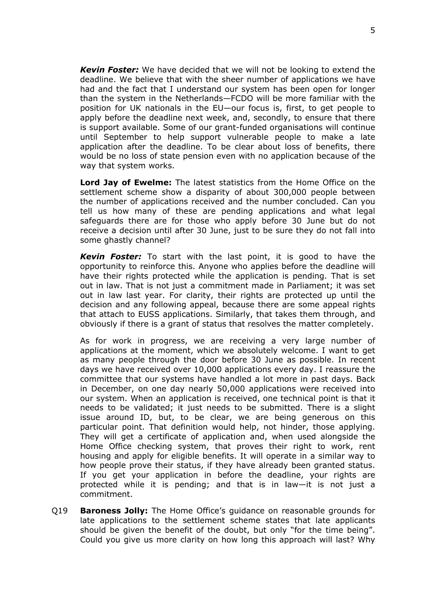*Kevin Foster:* We have decided that we will not be looking to extend the deadline. We believe that with the sheer number of applications we have had and the fact that I understand our system has been open for longer than the system in the Netherlands—FCDO will be more familiar with the position for UK nationals in the EU—our focus is, first, to get people to apply before the deadline next week, and, secondly, to ensure that there is support available. Some of our grant-funded organisations will continue until September to help support vulnerable people to make a late application after the deadline. To be clear about loss of benefits, there would be no loss of state pension even with no application because of the way that system works.

**Lord Jay of Ewelme:** The latest statistics from the Home Office on the settlement scheme show a disparity of about 300,000 people between the number of applications received and the number concluded. Can you tell us how many of these are pending applications and what legal safeguards there are for those who apply before 30 June but do not receive a decision until after 30 June, just to be sure they do not fall into some ghastly channel?

*Kevin Foster:* To start with the last point, it is good to have the opportunity to reinforce this. Anyone who applies before the deadline will have their rights protected while the application is pending. That is set out in law. That is not just a commitment made in Parliament; it was set out in law last year. For clarity, their rights are protected up until the decision and any following appeal, because there are some appeal rights that attach to EUSS applications. Similarly, that takes them through, and obviously if there is a grant of status that resolves the matter completely.

As for work in progress, we are receiving a very large number of applications at the moment, which we absolutely welcome. I want to get as many people through the door before 30 June as possible. In recent days we have received over 10,000 applications every day. I reassure the committee that our systems have handled a lot more in past days. Back in December, on one day nearly 50,000 applications were received into our system. When an application is received, one technical point is that it needs to be validated; it just needs to be submitted. There is a slight issue around ID, but, to be clear, we are being generous on this particular point. That definition would help, not hinder, those applying. They will get a certificate of application and, when used alongside the Home Office checking system, that proves their right to work, rent housing and apply for eligible benefits. It will operate in a similar way to how people prove their status, if they have already been granted status. If you get your application in before the deadline, your rights are protected while it is pending; and that is in law—it is not just a commitment.

Q19 **Baroness Jolly:** The Home Office's guidance on reasonable grounds for late applications to the settlement scheme states that late applicants should be given the benefit of the doubt, but only "for the time being". Could you give us more clarity on how long this approach will last? Why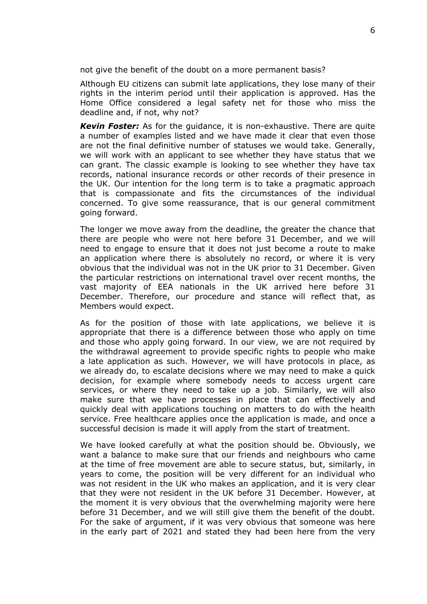not give the benefit of the doubt on a more permanent basis?

Although EU citizens can submit late applications, they lose many of their rights in the interim period until their application is approved. Has the Home Office considered a legal safety net for those who miss the deadline and, if not, why not?

*Kevin Foster:* As for the guidance, it is non-exhaustive. There are quite a number of examples listed and we have made it clear that even those are not the final definitive number of statuses we would take. Generally, we will work with an applicant to see whether they have status that we can grant. The classic example is looking to see whether they have tax records, national insurance records or other records of their presence in the UK. Our intention for the long term is to take a pragmatic approach that is compassionate and fits the circumstances of the individual concerned. To give some reassurance, that is our general commitment going forward.

The longer we move away from the deadline, the greater the chance that there are people who were not here before 31 December, and we will need to engage to ensure that it does not just become a route to make an application where there is absolutely no record, or where it is very obvious that the individual was not in the UK prior to 31 December. Given the particular restrictions on international travel over recent months, the vast majority of EEA nationals in the UK arrived here before 31 December. Therefore, our procedure and stance will reflect that, as Members would expect.

As for the position of those with late applications, we believe it is appropriate that there is a difference between those who apply on time and those who apply going forward. In our view, we are not required by the withdrawal agreement to provide specific rights to people who make a late application as such. However, we will have protocols in place, as we already do, to escalate decisions where we may need to make a quick decision, for example where somebody needs to access urgent care services, or where they need to take up a job. Similarly, we will also make sure that we have processes in place that can effectively and quickly deal with applications touching on matters to do with the health service. Free healthcare applies once the application is made, and once a successful decision is made it will apply from the start of treatment.

We have looked carefully at what the position should be. Obviously, we want a balance to make sure that our friends and neighbours who came at the time of free movement are able to secure status, but, similarly, in years to come, the position will be very different for an individual who was not resident in the UK who makes an application, and it is very clear that they were not resident in the UK before 31 December. However, at the moment it is very obvious that the overwhelming majority were here before 31 December, and we will still give them the benefit of the doubt. For the sake of argument, if it was very obvious that someone was here in the early part of 2021 and stated they had been here from the very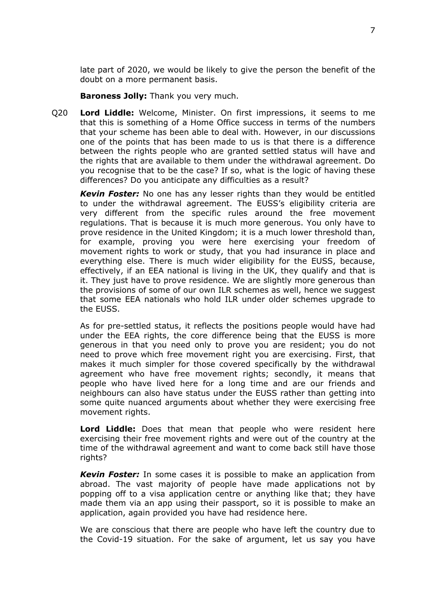late part of 2020, we would be likely to give the person the benefit of the doubt on a more permanent basis.

**Baroness Jolly:** Thank you very much.

Q20 **Lord Liddle:** Welcome, Minister. On first impressions, it seems to me that this is something of a Home Office success in terms of the numbers that your scheme has been able to deal with. However, in our discussions one of the points that has been made to us is that there is a difference between the rights people who are granted settled status will have and the rights that are available to them under the withdrawal agreement. Do you recognise that to be the case? If so, what is the logic of having these differences? Do you anticipate any difficulties as a result?

*Kevin Foster:* No one has any lesser rights than they would be entitled to under the withdrawal agreement. The EUSS's eligibility criteria are very different from the specific rules around the free movement regulations. That is because it is much more generous. You only have to prove residence in the United Kingdom; it is a much lower threshold than, for example, proving you were here exercising your freedom of movement rights to work or study, that you had insurance in place and everything else. There is much wider eligibility for the EUSS, because, effectively, if an EEA national is living in the UK, they qualify and that is it. They just have to prove residence. We are slightly more generous than the provisions of some of our own ILR schemes as well, hence we suggest that some EEA nationals who hold ILR under older schemes upgrade to the EUSS.

As for pre-settled status, it reflects the positions people would have had under the EEA rights, the core difference being that the EUSS is more generous in that you need only to prove you are resident; you do not need to prove which free movement right you are exercising. First, that makes it much simpler for those covered specifically by the withdrawal agreement who have free movement rights; secondly, it means that people who have lived here for a long time and are our friends and neighbours can also have status under the EUSS rather than getting into some quite nuanced arguments about whether they were exercising free movement rights.

**Lord Liddle:** Does that mean that people who were resident here exercising their free movement rights and were out of the country at the time of the withdrawal agreement and want to come back still have those rights?

*Kevin Foster:* In some cases it is possible to make an application from abroad. The vast majority of people have made applications not by popping off to a visa application centre or anything like that; they have made them via an app using their passport, so it is possible to make an application, again provided you have had residence here.

We are conscious that there are people who have left the country due to the Covid-19 situation. For the sake of argument, let us say you have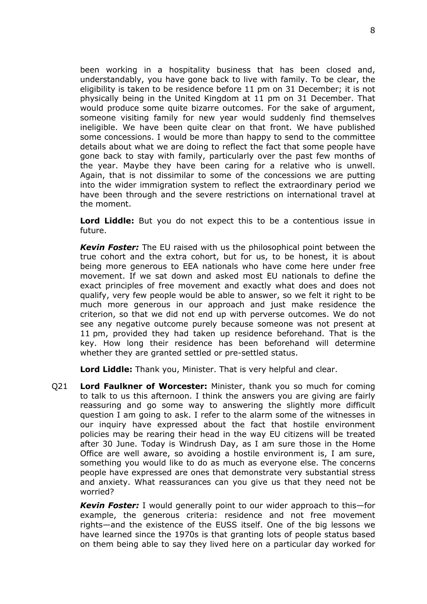been working in a hospitality business that has been closed and, understandably, you have gone back to live with family. To be clear, the eligibility is taken to be residence before 11 pm on 31 December; it is not physically being in the United Kingdom at 11 pm on 31 December. That would produce some quite bizarre outcomes. For the sake of argument, someone visiting family for new year would suddenly find themselves ineligible. We have been quite clear on that front. We have published some concessions. I would be more than happy to send to the committee details about what we are doing to reflect the fact that some people have gone back to stay with family, particularly over the past few months of the year. Maybe they have been caring for a relative who is unwell. Again, that is not dissimilar to some of the concessions we are putting into the wider immigration system to reflect the extraordinary period we have been through and the severe restrictions on international travel at the moment.

**Lord Liddle:** But you do not expect this to be a contentious issue in future.

*Kevin Foster:* The EU raised with us the philosophical point between the true cohort and the extra cohort, but for us, to be honest, it is about being more generous to EEA nationals who have come here under free movement. If we sat down and asked most EU nationals to define the exact principles of free movement and exactly what does and does not qualify, very few people would be able to answer, so we felt it right to be much more generous in our approach and just make residence the criterion, so that we did not end up with perverse outcomes. We do not see any negative outcome purely because someone was not present at 11 pm, provided they had taken up residence beforehand. That is the key. How long their residence has been beforehand will determine whether they are granted settled or pre-settled status.

**Lord Liddle:** Thank you, Minister. That is very helpful and clear.

Q21 **Lord Faulkner of Worcester:** Minister, thank you so much for coming to talk to us this afternoon. I think the answers you are giving are fairly reassuring and go some way to answering the slightly more difficult question I am going to ask. I refer to the alarm some of the witnesses in our inquiry have expressed about the fact that hostile environment policies may be rearing their head in the way EU citizens will be treated after 30 June. Today is Windrush Day, as I am sure those in the Home Office are well aware, so avoiding a hostile environment is, I am sure, something you would like to do as much as everyone else. The concerns people have expressed are ones that demonstrate very substantial stress and anxiety. What reassurances can you give us that they need not be worried?

*Kevin Foster:* I would generally point to our wider approach to this—for example, the generous criteria: residence and not free movement rights—and the existence of the EUSS itself. One of the big lessons we have learned since the 1970s is that granting lots of people status based on them being able to say they lived here on a particular day worked for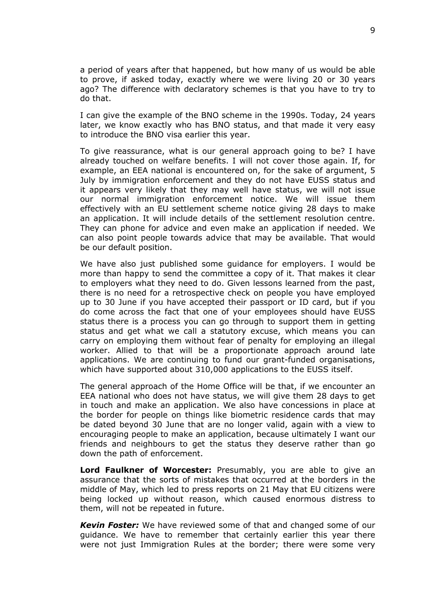a period of years after that happened, but how many of us would be able to prove, if asked today, exactly where we were living 20 or 30 years ago? The difference with declaratory schemes is that you have to try to do that.

I can give the example of the BNO scheme in the 1990s. Today, 24 years later, we know exactly who has BNO status, and that made it very easy to introduce the BNO visa earlier this year.

To give reassurance, what is our general approach going to be? I have already touched on welfare benefits. I will not cover those again. If, for example, an EEA national is encountered on, for the sake of argument, 5 July by immigration enforcement and they do not have EUSS status and it appears very likely that they may well have status, we will not issue our normal immigration enforcement notice. We will issue them effectively with an EU settlement scheme notice giving 28 days to make an application. It will include details of the settlement resolution centre. They can phone for advice and even make an application if needed. We can also point people towards advice that may be available. That would be our default position.

We have also just published some guidance for employers. I would be more than happy to send the committee a copy of it. That makes it clear to employers what they need to do. Given lessons learned from the past, there is no need for a retrospective check on people you have employed up to 30 June if you have accepted their passport or ID card, but if you do come across the fact that one of your employees should have EUSS status there is a process you can go through to support them in getting status and get what we call a statutory excuse, which means you can carry on employing them without fear of penalty for employing an illegal worker. Allied to that will be a proportionate approach around late applications. We are continuing to fund our grant-funded organisations, which have supported about 310,000 applications to the EUSS itself.

The general approach of the Home Office will be that, if we encounter an EEA national who does not have status, we will give them 28 days to get in touch and make an application. We also have concessions in place at the border for people on things like biometric residence cards that may be dated beyond 30 June that are no longer valid, again with a view to encouraging people to make an application, because ultimately I want our friends and neighbours to get the status they deserve rather than go down the path of enforcement.

**Lord Faulkner of Worcester:** Presumably, you are able to give an assurance that the sorts of mistakes that occurred at the borders in the middle of May, which led to press reports on 21 May that EU citizens were being locked up without reason, which caused enormous distress to them, will not be repeated in future.

*Kevin Foster:* We have reviewed some of that and changed some of our guidance. We have to remember that certainly earlier this year there were not just Immigration Rules at the border; there were some very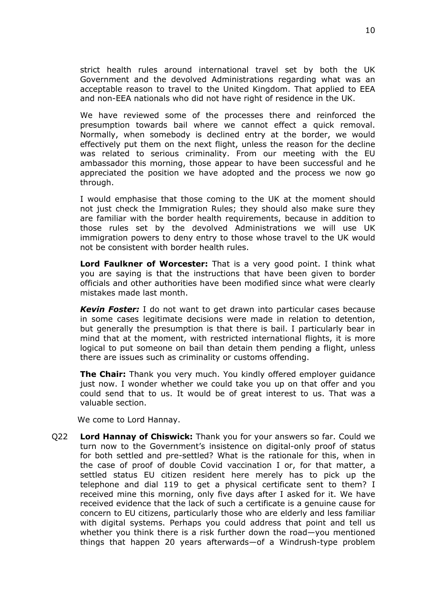strict health rules around international travel set by both the UK Government and the devolved Administrations regarding what was an acceptable reason to travel to the United Kingdom. That applied to EEA and non-EEA nationals who did not have right of residence in the UK.

We have reviewed some of the processes there and reinforced the presumption towards bail where we cannot effect a quick removal. Normally, when somebody is declined entry at the border, we would effectively put them on the next flight, unless the reason for the decline was related to serious criminality. From our meeting with the EU ambassador this morning, those appear to have been successful and he appreciated the position we have adopted and the process we now go through.

I would emphasise that those coming to the UK at the moment should not just check the Immigration Rules; they should also make sure they are familiar with the border health requirements, because in addition to those rules set by the devolved Administrations we will use UK immigration powers to deny entry to those whose travel to the UK would not be consistent with border health rules.

**Lord Faulkner of Worcester:** That is a very good point. I think what you are saying is that the instructions that have been given to border officials and other authorities have been modified since what were clearly mistakes made last month.

*Kevin Foster:* I do not want to get drawn into particular cases because in some cases legitimate decisions were made in relation to detention, but generally the presumption is that there is bail. I particularly bear in mind that at the moment, with restricted international flights, it is more logical to put someone on bail than detain them pending a flight, unless there are issues such as criminality or customs offending.

**The Chair:** Thank you very much. You kindly offered employer guidance just now. I wonder whether we could take you up on that offer and you could send that to us. It would be of great interest to us. That was a valuable section.

We come to Lord Hannay.

Q22 **Lord Hannay of Chiswick:** Thank you for your answers so far. Could we turn now to the Government's insistence on digital-only proof of status for both settled and pre-settled? What is the rationale for this, when in the case of proof of double Covid vaccination I or, for that matter, a settled status EU citizen resident here merely has to pick up the telephone and dial 119 to get a physical certificate sent to them? I received mine this morning, only five days after I asked for it. We have received evidence that the lack of such a certificate is a genuine cause for concern to EU citizens, particularly those who are elderly and less familiar with digital systems. Perhaps you could address that point and tell us whether you think there is a risk further down the road—you mentioned things that happen 20 years afterwards—of a Windrush-type problem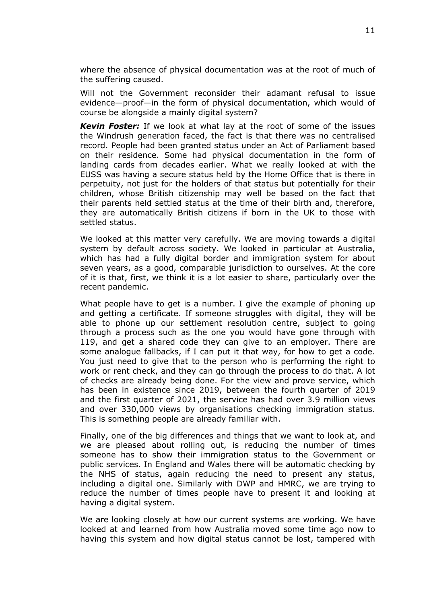where the absence of physical documentation was at the root of much of the suffering caused.

Will not the Government reconsider their adamant refusal to issue evidence—proof—in the form of physical documentation, which would of course be alongside a mainly digital system?

*Kevin Foster:* If we look at what lay at the root of some of the issues the Windrush generation faced, the fact is that there was no centralised record. People had been granted status under an Act of Parliament based on their residence. Some had physical documentation in the form of landing cards from decades earlier. What we really looked at with the EUSS was having a secure status held by the Home Office that is there in perpetuity, not just for the holders of that status but potentially for their children, whose British citizenship may well be based on the fact that their parents held settled status at the time of their birth and, therefore, they are automatically British citizens if born in the UK to those with settled status.

We looked at this matter very carefully. We are moving towards a digital system by default across society. We looked in particular at Australia, which has had a fully digital border and immigration system for about seven years, as a good, comparable jurisdiction to ourselves. At the core of it is that, first, we think it is a lot easier to share, particularly over the recent pandemic.

What people have to get is a number. I give the example of phoning up and getting a certificate. If someone struggles with digital, they will be able to phone up our settlement resolution centre, subject to going through a process such as the one you would have gone through with 119, and get a shared code they can give to an employer. There are some analogue fallbacks, if I can put it that way, for how to get a code. You just need to give that to the person who is performing the right to work or rent check, and they can go through the process to do that. A lot of checks are already being done. For the view and prove service, which has been in existence since 2019, between the fourth quarter of 2019 and the first quarter of 2021, the service has had over 3.9 million views and over 330,000 views by organisations checking immigration status. This is something people are already familiar with.

Finally, one of the big differences and things that we want to look at, and we are pleased about rolling out, is reducing the number of times someone has to show their immigration status to the Government or public services. In England and Wales there will be automatic checking by the NHS of status, again reducing the need to present any status, including a digital one. Similarly with DWP and HMRC, we are trying to reduce the number of times people have to present it and looking at having a digital system.

We are looking closely at how our current systems are working. We have looked at and learned from how Australia moved some time ago now to having this system and how digital status cannot be lost, tampered with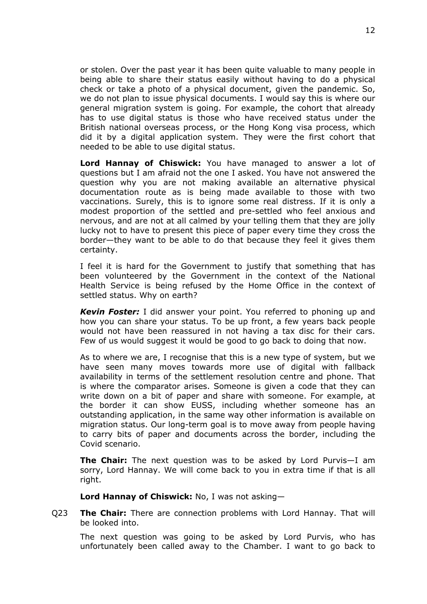or stolen. Over the past year it has been quite valuable to many people in being able to share their status easily without having to do a physical check or take a photo of a physical document, given the pandemic. So, we do not plan to issue physical documents. I would say this is where our general migration system is going. For example, the cohort that already has to use digital status is those who have received status under the British national overseas process, or the Hong Kong visa process, which did it by a digital application system. They were the first cohort that needed to be able to use digital status.

**Lord Hannay of Chiswick:** You have managed to answer a lot of questions but I am afraid not the one I asked. You have not answered the question why you are not making available an alternative physical documentation route as is being made available to those with two vaccinations. Surely, this is to ignore some real distress. If it is only a modest proportion of the settled and pre-settled who feel anxious and nervous, and are not at all calmed by your telling them that they are jolly lucky not to have to present this piece of paper every time they cross the border—they want to be able to do that because they feel it gives them certainty.

I feel it is hard for the Government to justify that something that has been volunteered by the Government in the context of the National Health Service is being refused by the Home Office in the context of settled status. Why on earth?

*Kevin Foster:* I did answer your point. You referred to phoning up and how you can share your status. To be up front, a few years back people would not have been reassured in not having a tax disc for their cars. Few of us would suggest it would be good to go back to doing that now.

As to where we are, I recognise that this is a new type of system, but we have seen many moves towards more use of digital with fallback availability in terms of the settlement resolution centre and phone. That is where the comparator arises. Someone is given a code that they can write down on a bit of paper and share with someone. For example, at the border it can show EUSS, including whether someone has an outstanding application, in the same way other information is available on migration status. Our long-term goal is to move away from people having to carry bits of paper and documents across the border, including the Covid scenario.

**The Chair:** The next question was to be asked by Lord Purvis—I am sorry, Lord Hannay. We will come back to you in extra time if that is all right.

**Lord Hannay of Chiswick:** No, I was not asking—

Q23 **The Chair:** There are connection problems with Lord Hannay. That will be looked into.

The next question was going to be asked by Lord Purvis, who has unfortunately been called away to the Chamber. I want to go back to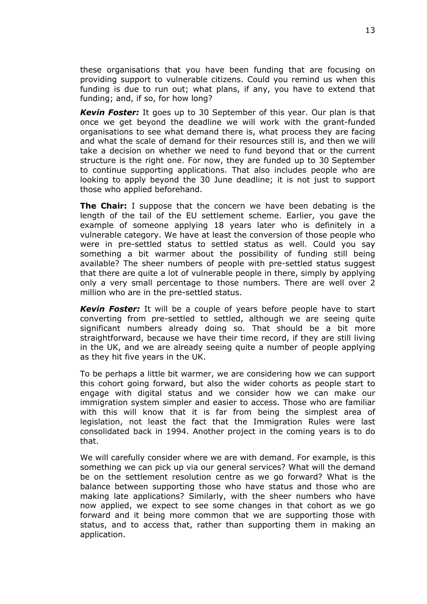these organisations that you have been funding that are focusing on providing support to vulnerable citizens. Could you remind us when this funding is due to run out; what plans, if any, you have to extend that funding; and, if so, for how long?

*Kevin Foster:* It goes up to 30 September of this year. Our plan is that once we get beyond the deadline we will work with the grant-funded organisations to see what demand there is, what process they are facing and what the scale of demand for their resources still is, and then we will take a decision on whether we need to fund beyond that or the current structure is the right one. For now, they are funded up to 30 September to continue supporting applications. That also includes people who are looking to apply beyond the 30 June deadline; it is not just to support those who applied beforehand.

**The Chair:** I suppose that the concern we have been debating is the length of the tail of the EU settlement scheme. Earlier, you gave the example of someone applying 18 years later who is definitely in a vulnerable category. We have at least the conversion of those people who were in pre-settled status to settled status as well. Could you say something a bit warmer about the possibility of funding still being available? The sheer numbers of people with pre-settled status suggest that there are quite a lot of vulnerable people in there, simply by applying only a very small percentage to those numbers. There are well over 2 million who are in the pre-settled status.

*Kevin Foster:* It will be a couple of years before people have to start converting from pre-settled to settled, although we are seeing quite significant numbers already doing so. That should be a bit more straightforward, because we have their time record, if they are still living in the UK, and we are already seeing quite a number of people applying as they hit five years in the UK.

To be perhaps a little bit warmer, we are considering how we can support this cohort going forward, but also the wider cohorts as people start to engage with digital status and we consider how we can make our immigration system simpler and easier to access. Those who are familiar with this will know that it is far from being the simplest area of legislation, not least the fact that the Immigration Rules were last consolidated back in 1994. Another project in the coming years is to do that.

We will carefully consider where we are with demand. For example, is this something we can pick up via our general services? What will the demand be on the settlement resolution centre as we go forward? What is the balance between supporting those who have status and those who are making late applications? Similarly, with the sheer numbers who have now applied, we expect to see some changes in that cohort as we go forward and it being more common that we are supporting those with status, and to access that, rather than supporting them in making an application.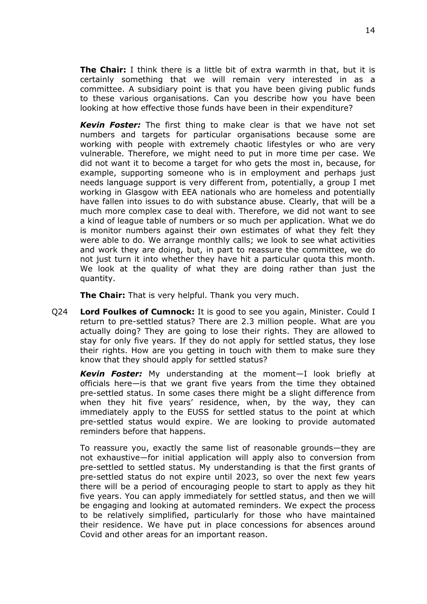**The Chair:** I think there is a little bit of extra warmth in that, but it is certainly something that we will remain very interested in as a committee. A subsidiary point is that you have been giving public funds to these various organisations. Can you describe how you have been looking at how effective those funds have been in their expenditure?

*Kevin Foster:* The first thing to make clear is that we have not set numbers and targets for particular organisations because some are working with people with extremely chaotic lifestyles or who are very vulnerable. Therefore, we might need to put in more time per case. We did not want it to become a target for who gets the most in, because, for example, supporting someone who is in employment and perhaps just needs language support is very different from, potentially, a group I met working in Glasgow with EEA nationals who are homeless and potentially have fallen into issues to do with substance abuse. Clearly, that will be a much more complex case to deal with. Therefore, we did not want to see a kind of league table of numbers or so much per application. What we do is monitor numbers against their own estimates of what they felt they were able to do. We arrange monthly calls; we look to see what activities and work they are doing, but, in part to reassure the committee, we do not just turn it into whether they have hit a particular quota this month. We look at the quality of what they are doing rather than just the quantity.

**The Chair:** That is very helpful. Thank you very much.

Q24 **Lord Foulkes of Cumnock:** It is good to see you again, Minister. Could I return to pre-settled status? There are 2.3 million people. What are you actually doing? They are going to lose their rights. They are allowed to stay for only five years. If they do not apply for settled status, they lose their rights. How are you getting in touch with them to make sure they know that they should apply for settled status?

*Kevin Foster:* My understanding at the moment—I look briefly at officials here—is that we grant five years from the time they obtained pre-settled status. In some cases there might be a slight difference from when they hit five years' residence, when, by the way, they can immediately apply to the EUSS for settled status to the point at which pre-settled status would expire. We are looking to provide automated reminders before that happens.

To reassure you, exactly the same list of reasonable grounds—they are not exhaustive—for initial application will apply also to conversion from pre-settled to settled status. My understanding is that the first grants of pre-settled status do not expire until 2023, so over the next few years there will be a period of encouraging people to start to apply as they hit five years. You can apply immediately for settled status, and then we will be engaging and looking at automated reminders. We expect the process to be relatively simplified, particularly for those who have maintained their residence. We have put in place concessions for absences around Covid and other areas for an important reason.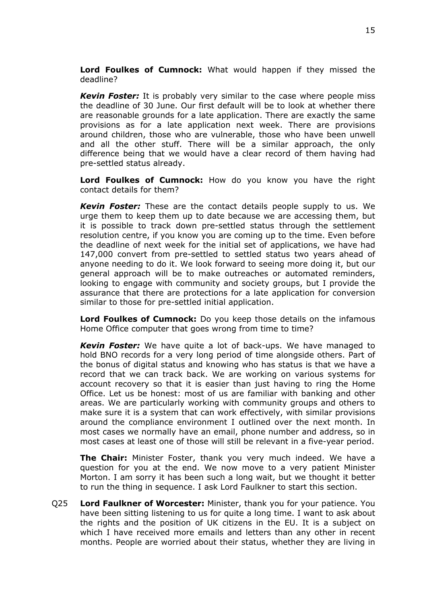**Lord Foulkes of Cumnock:** What would happen if they missed the deadline?

*Kevin Foster:* It is probably very similar to the case where people miss the deadline of 30 June. Our first default will be to look at whether there are reasonable grounds for a late application. There are exactly the same provisions as for a late application next week. There are provisions around children, those who are vulnerable, those who have been unwell and all the other stuff. There will be a similar approach, the only difference being that we would have a clear record of them having had pre-settled status already.

**Lord Foulkes of Cumnock:** How do you know you have the right contact details for them?

*Kevin Foster:* These are the contact details people supply to us. We urge them to keep them up to date because we are accessing them, but it is possible to track down pre-settled status through the settlement resolution centre, if you know you are coming up to the time. Even before the deadline of next week for the initial set of applications, we have had 147,000 convert from pre-settled to settled status two years ahead of anyone needing to do it. We look forward to seeing more doing it, but our general approach will be to make outreaches or automated reminders, looking to engage with community and society groups, but I provide the assurance that there are protections for a late application for conversion similar to those for pre-settled initial application.

**Lord Foulkes of Cumnock:** Do you keep those details on the infamous Home Office computer that goes wrong from time to time?

*Kevin Foster:* We have quite a lot of back-ups. We have managed to hold BNO records for a very long period of time alongside others. Part of the bonus of digital status and knowing who has status is that we have a record that we can track back. We are working on various systems for account recovery so that it is easier than just having to ring the Home Office. Let us be honest: most of us are familiar with banking and other areas. We are particularly working with community groups and others to make sure it is a system that can work effectively, with similar provisions around the compliance environment I outlined over the next month. In most cases we normally have an email, phone number and address, so in most cases at least one of those will still be relevant in a five-year period.

**The Chair:** Minister Foster, thank you very much indeed. We have a question for you at the end. We now move to a very patient Minister Morton. I am sorry it has been such a long wait, but we thought it better to run the thing in sequence. I ask Lord Faulkner to start this section.

Q25 **Lord Faulkner of Worcester:** Minister, thank you for your patience. You have been sitting listening to us for quite a long time. I want to ask about the rights and the position of UK citizens in the EU. It is a subject on which I have received more emails and letters than any other in recent months. People are worried about their status, whether they are living in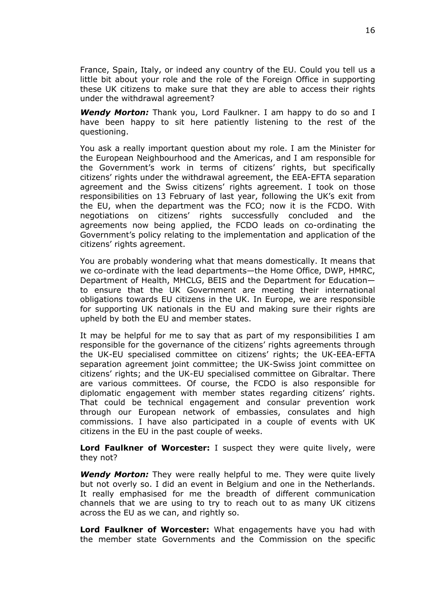France, Spain, Italy, or indeed any country of the EU. Could you tell us a little bit about your role and the role of the Foreign Office in supporting these UK citizens to make sure that they are able to access their rights under the withdrawal agreement?

*Wendy Morton:* Thank you, Lord Faulkner. I am happy to do so and I have been happy to sit here patiently listening to the rest of the questioning.

You ask a really important question about my role. I am the Minister for the European Neighbourhood and the Americas, and I am responsible for the Government's work in terms of citizens' rights, but specifically citizens' rights under the withdrawal agreement, the EEA-EFTA separation agreement and the Swiss citizens' rights agreement. I took on those responsibilities on 13 February of last year, following the UK's exit from the EU, when the department was the FCO; now it is the FCDO. With negotiations on citizens' rights successfully concluded and the agreements now being applied, the FCDO leads on co-ordinating the Government's policy relating to the implementation and application of the citizens' rights agreement.

You are probably wondering what that means domestically. It means that we co-ordinate with the lead departments—the Home Office, DWP, HMRC, Department of Health, MHCLG, BEIS and the Department for Education to ensure that the UK Government are meeting their international obligations towards EU citizens in the UK. In Europe, we are responsible for supporting UK nationals in the EU and making sure their rights are upheld by both the EU and member states.

It may be helpful for me to say that as part of my responsibilities I am responsible for the governance of the citizens' rights agreements through the UK-EU specialised committee on citizens' rights; the UK-EEA-EFTA separation agreement joint committee; the UK-Swiss joint committee on citizens' rights; and the UK-EU specialised committee on Gibraltar. There are various committees. Of course, the FCDO is also responsible for diplomatic engagement with member states regarding citizens' rights. That could be technical engagement and consular prevention work through our European network of embassies, consulates and high commissions. I have also participated in a couple of events with UK citizens in the EU in the past couple of weeks.

**Lord Faulkner of Worcester:** I suspect they were quite lively, were they not?

*Wendy Morton:* They were really helpful to me. They were quite lively but not overly so. I did an event in Belgium and one in the Netherlands. It really emphasised for me the breadth of different communication channels that we are using to try to reach out to as many UK citizens across the EU as we can, and rightly so.

**Lord Faulkner of Worcester:** What engagements have you had with the member state Governments and the Commission on the specific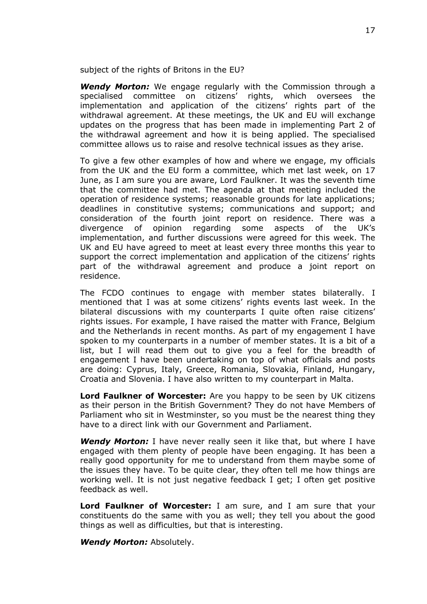subject of the rights of Britons in the EU?

*Wendy Morton:* We engage regularly with the Commission through a specialised committee on citizens' rights, which oversees the implementation and application of the citizens' rights part of the withdrawal agreement. At these meetings, the UK and EU will exchange updates on the progress that has been made in implementing Part 2 of the withdrawal agreement and how it is being applied. The specialised committee allows us to raise and resolve technical issues as they arise.

To give a few other examples of how and where we engage, my officials from the UK and the EU form a committee, which met last week, on 17 June, as I am sure you are aware, Lord Faulkner. It was the seventh time that the committee had met. The agenda at that meeting included the operation of residence systems; reasonable grounds for late applications; deadlines in constitutive systems; communications and support; and consideration of the fourth joint report on residence. There was a divergence of opinion regarding some aspects of the UK's implementation, and further discussions were agreed for this week. The UK and EU have agreed to meet at least every three months this year to support the correct implementation and application of the citizens' rights part of the withdrawal agreement and produce a joint report on residence.

The FCDO continues to engage with member states bilaterally. I mentioned that I was at some citizens' rights events last week. In the bilateral discussions with my counterparts I quite often raise citizens' rights issues. For example, I have raised the matter with France, Belgium and the Netherlands in recent months. As part of my engagement I have spoken to my counterparts in a number of member states. It is a bit of a list, but I will read them out to give you a feel for the breadth of engagement I have been undertaking on top of what officials and posts are doing: Cyprus, Italy, Greece, Romania, Slovakia, Finland, Hungary, Croatia and Slovenia. I have also written to my counterpart in Malta.

**Lord Faulkner of Worcester:** Are you happy to be seen by UK citizens as their person in the British Government? They do not have Members of Parliament who sit in Westminster, so you must be the nearest thing they have to a direct link with our Government and Parliament.

*Wendy Morton:* I have never really seen it like that, but where I have engaged with them plenty of people have been engaging. It has been a really good opportunity for me to understand from them maybe some of the issues they have. To be quite clear, they often tell me how things are working well. It is not just negative feedback I get; I often get positive feedback as well.

**Lord Faulkner of Worcester:** I am sure, and I am sure that your constituents do the same with you as well; they tell you about the good things as well as difficulties, but that is interesting.

*Wendy Morton:* Absolutely.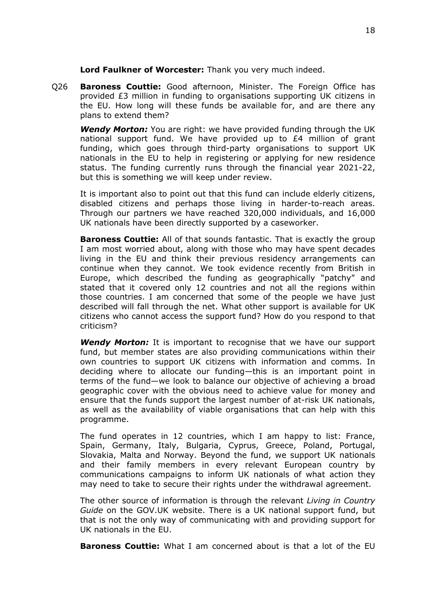**Lord Faulkner of Worcester:** Thank you very much indeed.

Q26 **Baroness Couttie:** Good afternoon, Minister. The Foreign Office has provided £3 million in funding to organisations supporting UK citizens in the EU. How long will these funds be available for, and are there any plans to extend them?

*Wendy Morton:* You are right: we have provided funding through the UK national support fund. We have provided up to £4 million of grant funding, which goes through third-party organisations to support UK nationals in the EU to help in registering or applying for new residence status. The funding currently runs through the financial year 2021-22, but this is something we will keep under review.

It is important also to point out that this fund can include elderly citizens, disabled citizens and perhaps those living in harder-to-reach areas. Through our partners we have reached 320,000 individuals, and 16,000 UK nationals have been directly supported by a caseworker.

**Baroness Couttie:** All of that sounds fantastic. That is exactly the group I am most worried about, along with those who may have spent decades living in the EU and think their previous residency arrangements can continue when they cannot. We took evidence recently from British in Europe, which described the funding as geographically "patchy" and stated that it covered only 12 countries and not all the regions within those countries. I am concerned that some of the people we have just described will fall through the net. What other support is available for UK citizens who cannot access the support fund? How do you respond to that criticism?

*Wendy Morton:* It is important to recognise that we have our support fund, but member states are also providing communications within their own countries to support UK citizens with information and comms. In deciding where to allocate our funding—this is an important point in terms of the fund—we look to balance our objective of achieving a broad geographic cover with the obvious need to achieve value for money and ensure that the funds support the largest number of at-risk UK nationals, as well as the availability of viable organisations that can help with this programme.

The fund operates in 12 countries, which I am happy to list: France, Spain, Germany, Italy, Bulgaria, Cyprus, Greece, Poland, Portugal, Slovakia, Malta and Norway. Beyond the fund, we support UK nationals and their family members in every relevant European country by communications campaigns to inform UK nationals of what action they may need to take to secure their rights under the withdrawal agreement.

The other source of information is through the relevant *Living in Country Guide* on the GOV.UK website. There is a UK national support fund, but that is not the only way of communicating with and providing support for UK nationals in the EU.

**Baroness Couttie:** What I am concerned about is that a lot of the EU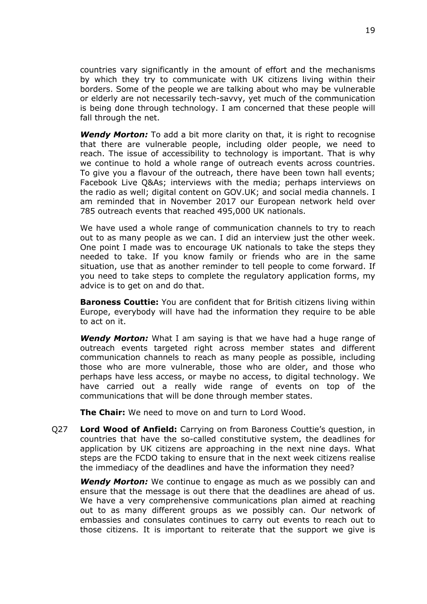countries vary significantly in the amount of effort and the mechanisms by which they try to communicate with UK citizens living within their borders. Some of the people we are talking about who may be vulnerable or elderly are not necessarily tech-savvy, yet much of the communication is being done through technology. I am concerned that these people will fall through the net.

*Wendy Morton:* To add a bit more clarity on that, it is right to recognise that there are vulnerable people, including older people, we need to reach. The issue of accessibility to technology is important. That is why we continue to hold a whole range of outreach events across countries. To give you a flavour of the outreach, there have been town hall events; Facebook Live Q&As; interviews with the media; perhaps interviews on the radio as well; digital content on GOV.UK; and social media channels. I am reminded that in November 2017 our European network held over 785 outreach events that reached 495,000 UK nationals.

We have used a whole range of communication channels to try to reach out to as many people as we can. I did an interview just the other week. One point I made was to encourage UK nationals to take the steps they needed to take. If you know family or friends who are in the same situation, use that as another reminder to tell people to come forward. If you need to take steps to complete the regulatory application forms, my advice is to get on and do that.

**Baroness Couttie:** You are confident that for British citizens living within Europe, everybody will have had the information they require to be able to act on it.

*Wendy Morton:* What I am saying is that we have had a huge range of outreach events targeted right across member states and different communication channels to reach as many people as possible, including those who are more vulnerable, those who are older, and those who perhaps have less access, or maybe no access, to digital technology. We have carried out a really wide range of events on top of the communications that will be done through member states.

**The Chair:** We need to move on and turn to Lord Wood.

Q27 **Lord Wood of Anfield:** Carrying on from Baroness Couttie's question, in countries that have the so-called constitutive system, the deadlines for application by UK citizens are approaching in the next nine days. What steps are the FCDO taking to ensure that in the next week citizens realise the immediacy of the deadlines and have the information they need?

*Wendy Morton:* We continue to engage as much as we possibly can and ensure that the message is out there that the deadlines are ahead of us. We have a very comprehensive communications plan aimed at reaching out to as many different groups as we possibly can. Our network of embassies and consulates continues to carry out events to reach out to those citizens. It is important to reiterate that the support we give is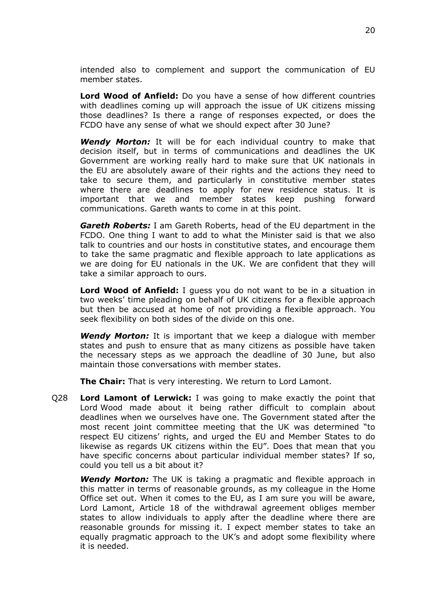intended also to complement and support the communication of EU member states.

**Lord Wood of Anfield:** Do you have a sense of how different countries with deadlines coming up will approach the issue of UK citizens missing those deadlines? Is there a range of responses expected, or does the FCDO have any sense of what we should expect after 30 June?

*Wendy Morton:* It will be for each individual country to make that decision itself, but in terms of communications and deadlines the UK Government are working really hard to make sure that UK nationals in the EU are absolutely aware of their rights and the actions they need to take to secure them, and particularly in constitutive member states where there are deadlines to apply for new residence status. It is important that we and member states keep pushing forward communications. Gareth wants to come in at this point.

*Gareth Roberts:* I am Gareth Roberts, head of the EU department in the FCDO. One thing I want to add to what the Minister said is that we also talk to countries and our hosts in constitutive states, and encourage them to take the same pragmatic and flexible approach to late applications as we are doing for EU nationals in the UK. We are confident that they will take a similar approach to ours.

**Lord Wood of Anfield:** I guess you do not want to be in a situation in two weeks' time pleading on behalf of UK citizens for a flexible approach but then be accused at home of not providing a flexible approach. You seek flexibility on both sides of the divide on this one.

*Wendy Morton:* It is important that we keep a dialogue with member states and push to ensure that as many citizens as possible have taken the necessary steps as we approach the deadline of 30 June, but also maintain those conversations with member states.

**The Chair:** That is very interesting. We return to Lord Lamont.

Q28 **Lord Lamont of Lerwick:** I was going to make exactly the point that Lord Wood made about it being rather difficult to complain about deadlines when we ourselves have one. The Government stated after the most recent joint committee meeting that the UK was determined "to respect EU citizens' rights, and urged the EU and Member States to do likewise as regards UK citizens within the EU". Does that mean that you have specific concerns about particular individual member states? If so, could you tell us a bit about it?

*Wendy Morton:* The UK is taking a pragmatic and flexible approach in this matter in terms of reasonable grounds, as my colleague in the Home Office set out. When it comes to the EU, as I am sure you will be aware, Lord Lamont, Article 18 of the withdrawal agreement obliges member states to allow individuals to apply after the deadline where there are reasonable grounds for missing it. I expect member states to take an equally pragmatic approach to the UK's and adopt some flexibility where it is needed.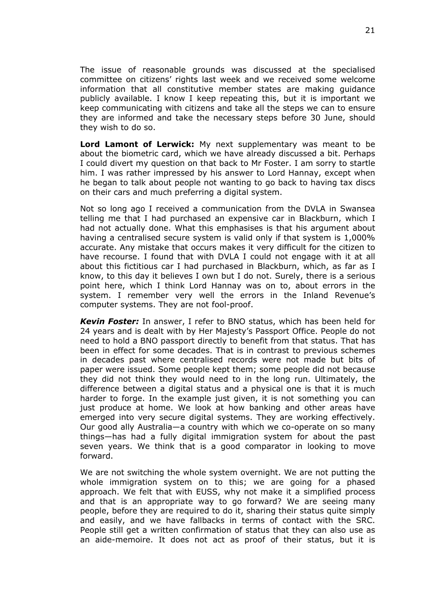The issue of reasonable grounds was discussed at the specialised committee on citizens' rights last week and we received some welcome information that all constitutive member states are making guidance publicly available. I know I keep repeating this, but it is important we keep communicating with citizens and take all the steps we can to ensure they are informed and take the necessary steps before 30 June, should they wish to do so.

**Lord Lamont of Lerwick:** My next supplementary was meant to be about the biometric card, which we have already discussed a bit. Perhaps I could divert my question on that back to Mr Foster. I am sorry to startle him. I was rather impressed by his answer to Lord Hannay, except when he began to talk about people not wanting to go back to having tax discs on their cars and much preferring a digital system.

Not so long ago I received a communication from the DVLA in Swansea telling me that I had purchased an expensive car in Blackburn, which I had not actually done. What this emphasises is that his argument about having a centralised secure system is valid only if that system is 1,000% accurate. Any mistake that occurs makes it very difficult for the citizen to have recourse. I found that with DVLA I could not engage with it at all about this fictitious car I had purchased in Blackburn, which, as far as I know, to this day it believes I own but I do not. Surely, there is a serious point here, which I think Lord Hannay was on to, about errors in the system. I remember very well the errors in the Inland Revenue's computer systems. They are not fool-proof.

*Kevin Foster:* In answer, I refer to BNO status, which has been held for 24 years and is dealt with by Her Majesty's Passport Office. People do not need to hold a BNO passport directly to benefit from that status. That has been in effect for some decades. That is in contrast to previous schemes in decades past where centralised records were not made but bits of paper were issued. Some people kept them; some people did not because they did not think they would need to in the long run. Ultimately, the difference between a digital status and a physical one is that it is much harder to forge. In the example just given, it is not something you can just produce at home. We look at how banking and other areas have emerged into very secure digital systems. They are working effectively. Our good ally Australia—a country with which we co-operate on so many things—has had a fully digital immigration system for about the past seven years. We think that is a good comparator in looking to move forward.

We are not switching the whole system overnight. We are not putting the whole immigration system on to this; we are going for a phased approach. We felt that with EUSS, why not make it a simplified process and that is an appropriate way to go forward? We are seeing many people, before they are required to do it, sharing their status quite simply and easily, and we have fallbacks in terms of contact with the SRC. People still get a written confirmation of status that they can also use as an aide-memoire. It does not act as proof of their status, but it is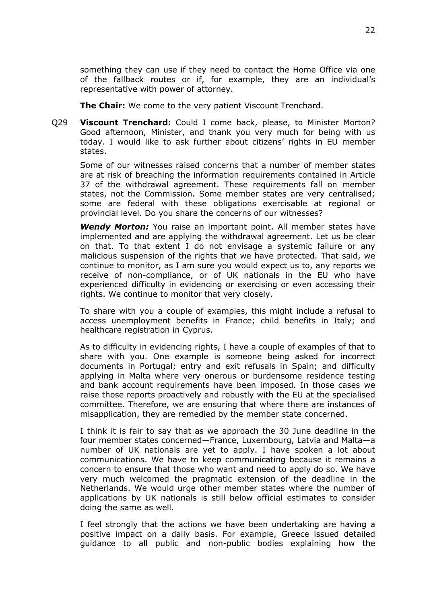something they can use if they need to contact the Home Office via one of the fallback routes or if, for example, they are an individual's representative with power of attorney.

**The Chair:** We come to the very patient Viscount Trenchard.

Q29 **Viscount Trenchard:** Could I come back, please, to Minister Morton? Good afternoon, Minister, and thank you very much for being with us today. I would like to ask further about citizens' rights in EU member states.

Some of our witnesses raised concerns that a number of member states are at risk of breaching the information requirements contained in Article 37 of the withdrawal agreement. These requirements fall on member states, not the Commission. Some member states are very centralised; some are federal with these obligations exercisable at regional or provincial level. Do you share the concerns of our witnesses?

*Wendy Morton:* You raise an important point. All member states have implemented and are applying the withdrawal agreement. Let us be clear on that. To that extent I do not envisage a systemic failure or any malicious suspension of the rights that we have protected. That said, we continue to monitor, as I am sure you would expect us to, any reports we receive of non-compliance, or of UK nationals in the EU who have experienced difficulty in evidencing or exercising or even accessing their rights. We continue to monitor that very closely.

To share with you a couple of examples, this might include a refusal to access unemployment benefits in France; child benefits in Italy; and healthcare registration in Cyprus.

As to difficulty in evidencing rights, I have a couple of examples of that to share with you. One example is someone being asked for incorrect documents in Portugal; entry and exit refusals in Spain; and difficulty applying in Malta where very onerous or burdensome residence testing and bank account requirements have been imposed. In those cases we raise those reports proactively and robustly with the EU at the specialised committee. Therefore, we are ensuring that where there are instances of misapplication, they are remedied by the member state concerned.

I think it is fair to say that as we approach the 30 June deadline in the four member states concerned—France, Luxembourg, Latvia and Malta—a number of UK nationals are yet to apply. I have spoken a lot about communications. We have to keep communicating because it remains a concern to ensure that those who want and need to apply do so. We have very much welcomed the pragmatic extension of the deadline in the Netherlands. We would urge other member states where the number of applications by UK nationals is still below official estimates to consider doing the same as well.

I feel strongly that the actions we have been undertaking are having a positive impact on a daily basis. For example, Greece issued detailed guidance to all public and non-public bodies explaining how the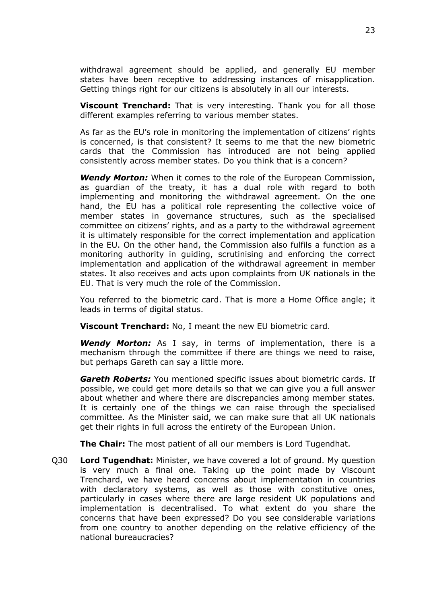withdrawal agreement should be applied, and generally EU member states have been receptive to addressing instances of misapplication. Getting things right for our citizens is absolutely in all our interests.

**Viscount Trenchard:** That is very interesting. Thank you for all those different examples referring to various member states.

As far as the EU's role in monitoring the implementation of citizens' rights is concerned, is that consistent? It seems to me that the new biometric cards that the Commission has introduced are not being applied consistently across member states. Do you think that is a concern?

*Wendy Morton:* When it comes to the role of the European Commission, as guardian of the treaty, it has a dual role with regard to both implementing and monitoring the withdrawal agreement. On the one hand, the EU has a political role representing the collective voice of member states in governance structures, such as the specialised committee on citizens' rights, and as a party to the withdrawal agreement it is ultimately responsible for the correct implementation and application in the EU. On the other hand, the Commission also fulfils a function as a monitoring authority in guiding, scrutinising and enforcing the correct implementation and application of the withdrawal agreement in member states. It also receives and acts upon complaints from UK nationals in the EU. That is very much the role of the Commission.

You referred to the biometric card. That is more a Home Office angle; it leads in terms of digital status.

**Viscount Trenchard:** No, I meant the new EU biometric card.

*Wendy Morton:* As I say, in terms of implementation, there is a mechanism through the committee if there are things we need to raise, but perhaps Gareth can say a little more.

*Gareth Roberts:* You mentioned specific issues about biometric cards. If possible, we could get more details so that we can give you a full answer about whether and where there are discrepancies among member states. It is certainly one of the things we can raise through the specialised committee. As the Minister said, we can make sure that all UK nationals get their rights in full across the entirety of the European Union.

**The Chair:** The most patient of all our members is Lord Tugendhat.

Q30 **Lord Tugendhat:** Minister, we have covered a lot of ground. My question is very much a final one. Taking up the point made by Viscount Trenchard, we have heard concerns about implementation in countries with declaratory systems, as well as those with constitutive ones, particularly in cases where there are large resident UK populations and implementation is decentralised. To what extent do you share the concerns that have been expressed? Do you see considerable variations from one country to another depending on the relative efficiency of the national bureaucracies?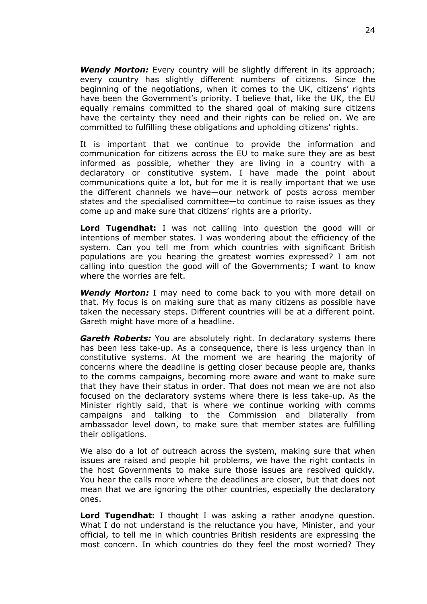*Wendy Morton:* Every country will be slightly different in its approach; every country has slightly different numbers of citizens. Since the beginning of the negotiations, when it comes to the UK, citizens' rights have been the Government's priority. I believe that, like the UK, the EU equally remains committed to the shared goal of making sure citizens have the certainty they need and their rights can be relied on. We are committed to fulfilling these obligations and upholding citizens' rights.

It is important that we continue to provide the information and communication for citizens across the EU to make sure they are as best informed as possible, whether they are living in a country with a declaratory or constitutive system. I have made the point about communications quite a lot, but for me it is really important that we use the different channels we have—our network of posts across member states and the specialised committee—to continue to raise issues as they come up and make sure that citizens' rights are a priority.

**Lord Tugendhat:** I was not calling into question the good will or intentions of member states. I was wondering about the efficiency of the system. Can you tell me from which countries with significant British populations are you hearing the greatest worries expressed? I am not calling into question the good will of the Governments; I want to know where the worries are felt.

*Wendy Morton:* I may need to come back to you with more detail on that. My focus is on making sure that as many citizens as possible have taken the necessary steps. Different countries will be at a different point. Gareth might have more of a headline.

*Gareth Roberts:* You are absolutely right. In declaratory systems there has been less take-up. As a consequence, there is less urgency than in constitutive systems. At the moment we are hearing the majority of concerns where the deadline is getting closer because people are, thanks to the comms campaigns, becoming more aware and want to make sure that they have their status in order. That does not mean we are not also focused on the declaratory systems where there is less take-up. As the Minister rightly said, that is where we continue working with comms campaigns and talking to the Commission and bilaterally from ambassador level down, to make sure that member states are fulfilling their obligations.

We also do a lot of outreach across the system, making sure that when issues are raised and people hit problems, we have the right contacts in the host Governments to make sure those issues are resolved quickly. You hear the calls more where the deadlines are closer, but that does not mean that we are ignoring the other countries, especially the declaratory ones.

**Lord Tugendhat:** I thought I was asking a rather anodyne question. What I do not understand is the reluctance you have, Minister, and your official, to tell me in which countries British residents are expressing the most concern. In which countries do they feel the most worried? They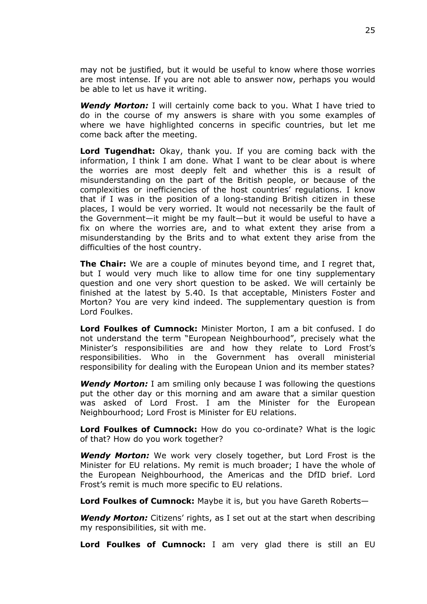may not be justified, but it would be useful to know where those worries are most intense. If you are not able to answer now, perhaps you would be able to let us have it writing.

*Wendy Morton:* I will certainly come back to you. What I have tried to do in the course of my answers is share with you some examples of where we have highlighted concerns in specific countries, but let me come back after the meeting.

**Lord Tugendhat:** Okay, thank you. If you are coming back with the information, I think I am done. What I want to be clear about is where the worries are most deeply felt and whether this is a result of misunderstanding on the part of the British people, or because of the complexities or inefficiencies of the host countries' regulations. I know that if I was in the position of a long-standing British citizen in these places, I would be very worried. It would not necessarily be the fault of the Government—it might be my fault—but it would be useful to have a fix on where the worries are, and to what extent they arise from a misunderstanding by the Brits and to what extent they arise from the difficulties of the host country.

**The Chair:** We are a couple of minutes beyond time, and I regret that, but I would very much like to allow time for one tiny supplementary question and one very short question to be asked. We will certainly be finished at the latest by 5.40. Is that acceptable, Ministers Foster and Morton? You are very kind indeed. The supplementary question is from Lord Foulkes.

**Lord Foulkes of Cumnock:** Minister Morton, I am a bit confused. I do not understand the term "European Neighbourhood", precisely what the Minister's responsibilities are and how they relate to Lord Frost's responsibilities. Who in the Government has overall ministerial responsibility for dealing with the European Union and its member states?

*Wendy Morton:* I am smiling only because I was following the questions put the other day or this morning and am aware that a similar question was asked of Lord Frost. I am the Minister for the European Neighbourhood; Lord Frost is Minister for EU relations.

**Lord Foulkes of Cumnock:** How do you co-ordinate? What is the logic of that? How do you work together?

*Wendy Morton:* We work very closely together, but Lord Frost is the Minister for EU relations. My remit is much broader; I have the whole of the European Neighbourhood, the Americas and the DfID brief. Lord Frost's remit is much more specific to EU relations.

**Lord Foulkes of Cumnock:** Maybe it is, but you have Gareth Roberts—

*Wendy Morton:* Citizens' rights, as I set out at the start when describing my responsibilities, sit with me.

**Lord Foulkes of Cumnock:** I am very glad there is still an EU